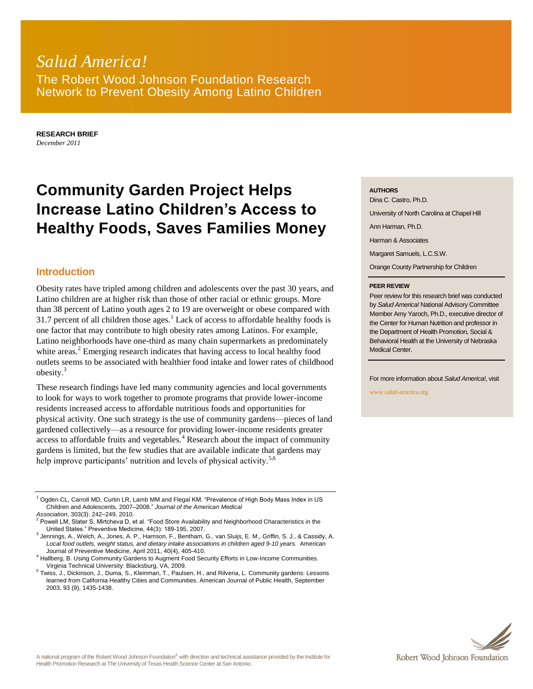## *Salud America!* The Robert Wood Johnson Foundation Research Network to Prevent Obesity Among Latino Children

**RESEARCH BRIEF** *December 2011*

# **Community Garden Project Helps Increase Latino Children's Access to Healthy Foods, Saves Families Money**

## **Introduction**

Obesity rates have tripled among children and adolescents over the past 30 years, and Latino children are at higher risk than those of other racial or ethnic groups. More than 38 percent of Latino youth ages 2 to 19 are overweight or obese compared with 31.7 percent of all children those ages.<sup>1</sup> Lack of access to affordable healthy foods is one factor that may contribute to high obesity rates among Latinos. For example, Latino neighborhoods have one-third as many chain supermarkets as predominately white areas.<sup>2</sup> Emerging research indicates that having access to local healthy food outlets seems to be associated with healthier food intake and lower rates of childhood obesity.<sup>3</sup>

These research findings have led many community agencies and local governments to look for ways to work together to promote programs that provide lower-income residents increased access to affordable nutritious foods and opportunities for physical activity. One such strategy is the use of community gardens—pieces of land gardened collectively—as a resource for providing lower-income residents greater access to affordable fruits and vegetables.<sup>4</sup> Research about the impact of community gardens is limited, but the few studies that are available indicate that gardens may help improve participants' nutrition and levels of physical activity.<sup>5,6</sup>

<sup>1</sup> Ogden CL, Carroll MD, Curtin LR, Lamb MM and Flegal KM. "Prevalence of High Body Mass Index in US Children and Adolescents, 2007–2008." *Journal of the American Medical Association*, 303(3): 242–249, 2010.

 $2$  Powell LM, Slater S, Mirtcheva D, et al. "Food Store Availability and Neighborhood Characteristics in the United States." Preventive Medicine, 44(3): 189-195, 2007.

3 Jennings, A., Welch, A., Jones, A. P., Harrison, F., Bentham, G., van Sluijs, E. M., Griffin, S. J., & Cassidy, A. *Local food outlets, weight status, and dietary intake associations in children aged 9-10 years.* American Journal of Preventive Medicine, April 2011, 40(4), 405-410.

<sup>4</sup> Hallberg, B. Using Community Gardens to Augment Food Security Efforts in Low-Income Communities. Virginia Technical University: Blacksburg, VA, 2009.

5 Twiss, J., Dickinson, J., Duma, S., Kleinman, T., Paulsen, H., and Rilveria, L. Community gardens: Lessons learned from California Healthy Cities and Communities. American Journal of Public Health, September 2003, 93 (9), 1435-1438.

#### **AUTHORS**

Dina C. Castro, Ph.D.

University of North Carolina at Chapel Hill

Ann Harman, Ph.D.

Harman & Associates

Margaret Samuels, L.C.S.W.

Orange County Partnership for Children

#### **PEER REVIEW**

Peer review for this research brief was conducted by *Salud America!* National Advisory Committee Member Amy Yaroch, Ph.D., executive director of the Center for Human Nutrition and professor in the Department of Health Promotion, Social & Behavioral Health at the University of Nebraska Medical Center.

For more information about *Salud America!*, visit

www.salud-america.org

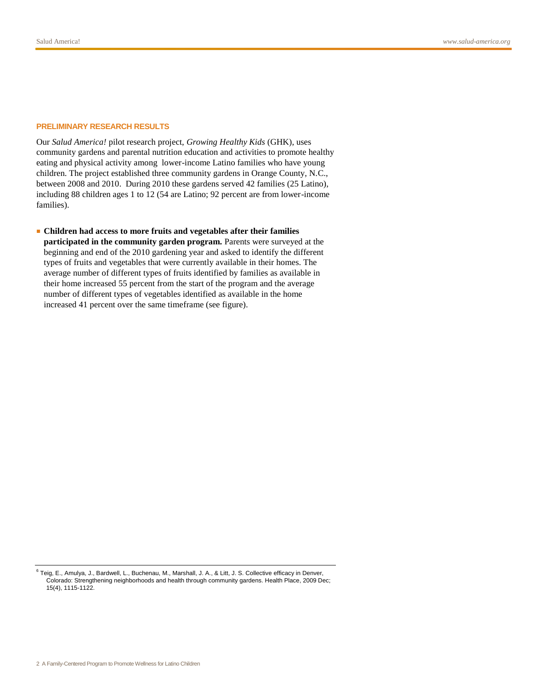#### **PRELIMINARY RESEARCH RESULTS**

Our *Salud America!* pilot research project, *Growing Healthy Kids* (GHK), uses community gardens and parental nutrition education and activities to promote healthy eating and physical activity among lower-income Latino families who have young children. The project established three community gardens in Orange County, N.C., between 2008 and 2010. During 2010 these gardens served 42 families (25 Latino), including 88 children ages 1 to 12 (54 are Latino; 92 percent are from lower-income families).

■ **Children had access to more fruits and vegetables after their families participated in the community garden program.** Parents were surveyed at the beginning and end of the 2010 gardening year and asked to identify the different types of fruits and vegetables that were currently available in their homes. The average number of different types of fruits identified by families as available in their home increased 55 percent from the start of the program and the average number of different types of vegetables identified as available in the home increased 41 percent over the same timeframe (see figure).

<sup>6</sup> Teig, E., Amulya, J., Bardwell, L., Buchenau, M., Marshall, J. A., & Litt, J. S. Collective efficacy in Denver, Colorado: Strengthening neighborhoods and health through community gardens. Health Place, 2009 Dec; 15(4), 1115-1122.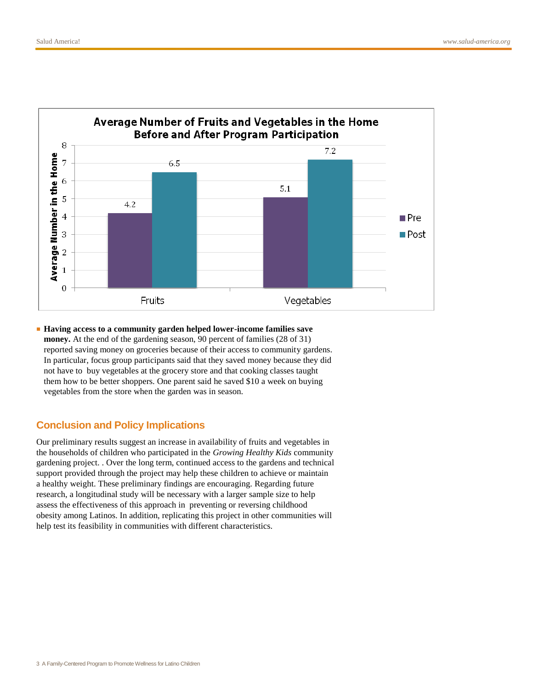

### ■ **Having access to a community garden helped lower-income families save money.** At the end of the gardening season, 90 percent of families (28 of 31) reported saving money on groceries because of their access to community gardens. In particular, focus group participants said that they saved money because they did not have to buy vegetables at the grocery store and that cooking classes taught them how to be better shoppers. One parent said he saved \$10 a week on buying vegetables from the store when the garden was in season.

## **Conclusion and Policy Implications**

Our preliminary results suggest an increase in availability of fruits and vegetables in the households of children who participated in the *Growing Healthy Kids* community gardening project. . Over the long term, continued access to the gardens and technical support provided through the project may help these children to achieve or maintain a healthy weight. These preliminary findings are encouraging. Regarding future research, a longitudinal study will be necessary with a larger sample size to help assess the effectiveness of this approach in preventing or reversing childhood obesity among Latinos. In addition, replicating this project in other communities will help test its feasibility in communities with different characteristics.